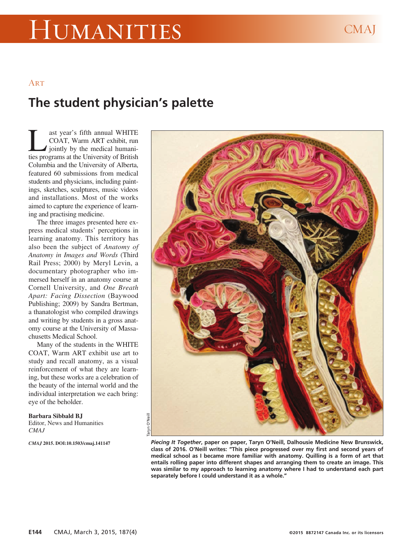## Humanities CMAJ

## **ART**

## **The student physician's palette**

ast year's fifth annual WHITE<br>COAT, Warm ART exhibit, run<br>jointly by the medical humani-<br>ties programs at the University of British COAT, Warm ART exhibit, run iointly by the medical humanities programs at the University of British Columbia and the University of Alberta, featured 60 submissions from medical students and physicians, including paintings, sketches, sculptures, music videos and installations. Most of the works aimed to capture the experience of learning and practising medicine.

The three images presented here express medical students' perceptions in learning anatomy. This territory has also been the subject of *Anatomy of Anatomy in Images and Words* (Third Rail Press; 2000) by Meryl Levin, a documentary photographer who immersed herself in an anatomy course at Cornell University, and *One Breath Apart: Facing Dissection* (Baywood Publishing; 2009) by Sandra Bertman, a thanatologist who compiled drawings and writing by students in a gross anatomy course at the University of Massachusetts Medical School.

Many of the students in the WHITE COAT, Warm ART exhibit use art to study and recall anatomy, as a visual reinforcement of what they are learning, but these works are a celebration of the beauty of the internal world and the individual interpretation we each bring: eye of the beholder.

**Barbara Sibbald BJ**

Editor, News and Humanities *CMAJ*

*CMAJ* **2015. DOI:10.1503/cmaj.141147**



*Piecing It Together***, paper on paper, Taryn O'Neill, Dalhousie Medicine New Brunswick, class of 2016. O'Neill writes: "This piece progressed over my first and second years of medical school as I became more familiar with anatomy. Quilling is a form of art that entails rolling paper into different shapes and arranging them to create an image. This was similar to my approach to learning anatomy where I had to understand each part separately before I could understand it as a whole."**